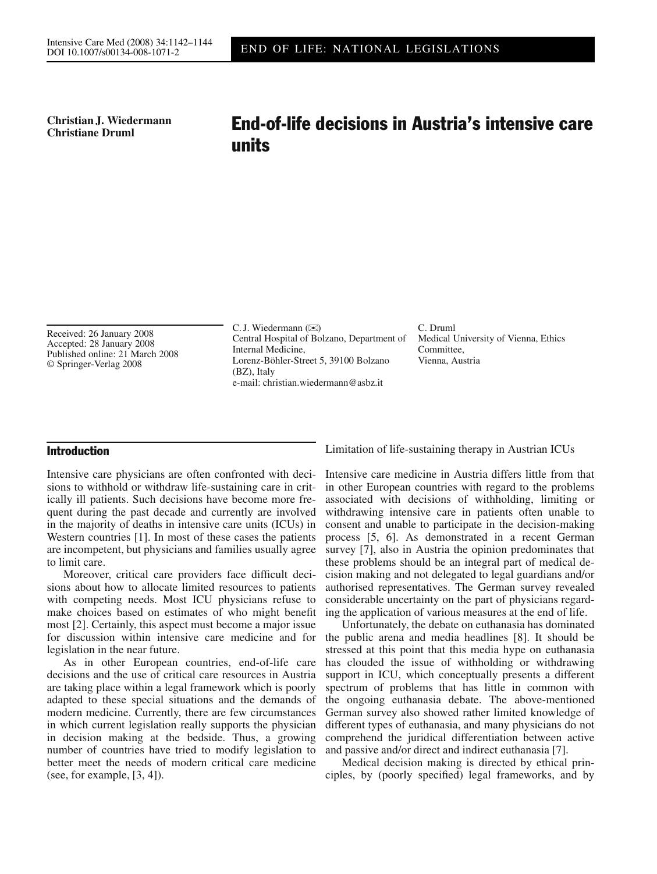**Christian J. Wiedermann**

# Christian J. Wiedermann<br>Christiane Druml<br>**End-of-life decisions in Austria's intensive care** units

Received: 26 January 2008 Accepted: 28 January 2008 Published online: 21 March 2008 © Springer-Verlag 2008

C. J. Wiedermann  $(\mathbb{X})$ Central Hospital of Bolzano, Department of Internal Medicine, Lorenz-Böhler-Street 5, 39100 Bolzano (BZ), Italy e-mail: christian.wiedermann@asbz.it

C. Druml Medical University of Vienna, Ethics Committee, Vienna, Austria

## Introduction

Intensive care physicians are often confronted with decisions to withhold or withdraw life-sustaining care in critically ill patients. Such decisions have become more frequent during the past decade and currently are involved in the majority of deaths in intensive care units (ICUs) in Western countries [1]. In most of these cases the patients are incompetent, but physicians and families usually agree to limit care.

Moreover, critical care providers face difficult decisions about how to allocate limited resources to patients with competing needs. Most ICU physicians refuse to make choices based on estimates of who might benefit most [2]. Certainly, this aspect must become a major issue for discussion within intensive care medicine and for legislation in the near future.

As in other European countries, end-of-life care decisions and the use of critical care resources in Austria are taking place within a legal framework which is poorly adapted to these special situations and the demands of modern medicine. Currently, there are few circumstances in which current legislation really supports the physician in decision making at the bedside. Thus, a growing number of countries have tried to modify legislation to better meet the needs of modern critical care medicine (see, for example, [3, 4]).

Intensive care medicine in Austria differs little from that in other European countries with regard to the problems associated with decisions of withholding, limiting or withdrawing intensive care in patients often unable to consent and unable to participate in the decision-making process [5, 6]. As demonstrated in a recent German survey [7], also in Austria the opinion predominates that these problems should be an integral part of medical decision making and not delegated to legal guardians and/or authorised representatives. The German survey revealed considerable uncertainty on the part of physicians regarding the application of various measures at the end of life.

Limitation of life-sustaining therapy in Austrian ICUs

Unfortunately, the debate on euthanasia has dominated the public arena and media headlines [8]. It should be stressed at this point that this media hype on euthanasia has clouded the issue of withholding or withdrawing support in ICU, which conceptually presents a different spectrum of problems that has little in common with the ongoing euthanasia debate. The above-mentioned German survey also showed rather limited knowledge of different types of euthanasia, and many physicians do not comprehend the juridical differentiation between active and passive and/or direct and indirect euthanasia [7].

Medical decision making is directed by ethical principles, by (poorly specified) legal frameworks, and by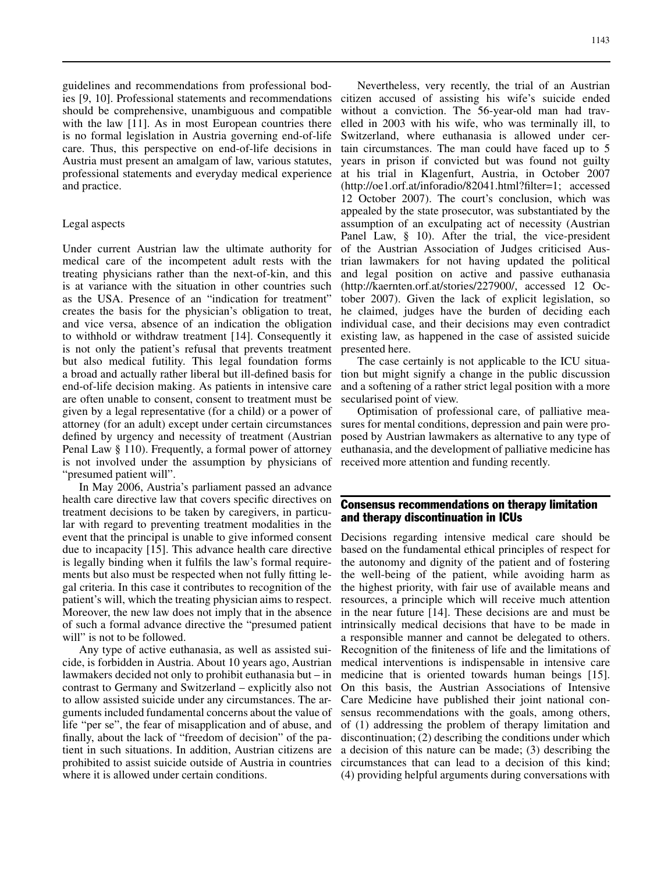guidelines and recommendations from professional bodies [9, 10]. Professional statements and recommendations should be comprehensive, unambiguous and compatible with the law [11]. As in most European countries there is no formal legislation in Austria governing end-of-life care. Thus, this perspective on end-of-life decisions in Austria must present an amalgam of law, various statutes, professional statements and everyday medical experience and practice.

#### Legal aspects

Under current Austrian law the ultimate authority for medical care of the incompetent adult rests with the treating physicians rather than the next-of-kin, and this is at variance with the situation in other countries such as the USA. Presence of an "indication for treatment" creates the basis for the physician's obligation to treat, and vice versa, absence of an indication the obligation to withhold or withdraw treatment [14]. Consequently it is not only the patient's refusal that prevents treatment but also medical futility. This legal foundation forms a broad and actually rather liberal but ill-defined basis for end-of-life decision making. As patients in intensive care are often unable to consent, consent to treatment must be given by a legal representative (for a child) or a power of attorney (for an adult) except under certain circumstances defined by urgency and necessity of treatment (Austrian Penal Law § 110). Frequently, a formal power of attorney is not involved under the assumption by physicians of "presumed patient will".

In May 2006, Austria's parliament passed an advance health care directive law that covers specific directives on treatment decisions to be taken by caregivers, in particular with regard to preventing treatment modalities in the event that the principal is unable to give informed consent due to incapacity [15]. This advance health care directive is legally binding when it fulfils the law's formal requirements but also must be respected when not fully fitting legal criteria. In this case it contributes to recognition of the patient's will, which the treating physician aims to respect. Moreover, the new law does not imply that in the absence of such a formal advance directive the "presumed patient will" is not to be followed.

Any type of active euthanasia, as well as assisted suicide, is forbidden in Austria. About 10 years ago, Austrian lawmakers decided not only to prohibit euthanasia but – in contrast to Germany and Switzerland – explicitly also not to allow assisted suicide under any circumstances. The arguments included fundamental concerns about the value of life "per se", the fear of misapplication and of abuse, and finally, about the lack of "freedom of decision" of the patient in such situations. In addition, Austrian citizens are prohibited to assist suicide outside of Austria in countries where it is allowed under certain conditions.

1143

Nevertheless, very recently, the trial of an Austrian citizen accused of assisting his wife's suicide ended without a conviction. The 56-year-old man had travelled in 2003 with his wife, who was terminally ill, to Switzerland, where euthanasia is allowed under certain circumstances. The man could have faced up to 5 years in prison if convicted but was found not guilty at his trial in Klagenfurt, Austria, in October 2007 (http://oe1.orf.at/inforadio/82041.html?filter=1; accessed 12 October 2007). The court's conclusion, which was appealed by the state prosecutor, was substantiated by the assumption of an exculpating act of necessity (Austrian Panel Law, § 10). After the trial, the vice-president of the Austrian Association of Judges criticised Austrian lawmakers for not having updated the political and legal position on active and passive euthanasia (http://kaernten.orf.at/stories/227900/, accessed 12 October 2007). Given the lack of explicit legislation, so he claimed, judges have the burden of deciding each individual case, and their decisions may even contradict existing law, as happened in the case of assisted suicide presented here.

The case certainly is not applicable to the ICU situation but might signify a change in the public discussion and a softening of a rather strict legal position with a more secularised point of view.

Optimisation of professional care, of palliative measures for mental conditions, depression and pain were proposed by Austrian lawmakers as alternative to any type of euthanasia, and the development of palliative medicine has received more attention and funding recently.

### Consensus recommendations on therapy limitation and therapy discontinuation in ICUs

Decisions regarding intensive medical care should be based on the fundamental ethical principles of respect for the autonomy and dignity of the patient and of fostering the well-being of the patient, while avoiding harm as the highest priority, with fair use of available means and resources, a principle which will receive much attention in the near future [14]. These decisions are and must be intrinsically medical decisions that have to be made in a responsible manner and cannot be delegated to others. Recognition of the finiteness of life and the limitations of medical interventions is indispensable in intensive care medicine that is oriented towards human beings [15]. On this basis, the Austrian Associations of Intensive Care Medicine have published their joint national consensus recommendations with the goals, among others, of (1) addressing the problem of therapy limitation and discontinuation; (2) describing the conditions under which a decision of this nature can be made; (3) describing the circumstances that can lead to a decision of this kind; (4) providing helpful arguments during conversations with